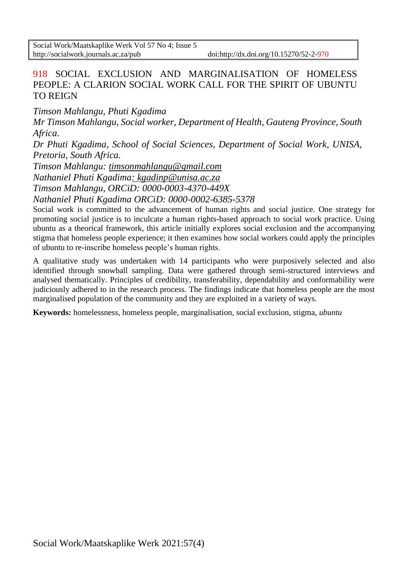# 918 SOCIAL EXCLUSION AND MARGINALISATION OF HOMELESS PEOPLE: A CLARION SOCIAL WORK CALL FOR THE SPIRIT OF UBUNTU TO REIGN

*Timson Mahlangu, Phuti Kgadima*

*Mr Timson Mahlangu, Social worker, Department of Health, Gauteng Province, South Africa.*

*Dr Phuti Kgadima, School of Social Sciences, Department of Social Work, UNISA, Pretoria, South Africa.*

*Timson Mahlangu: [timsonmahlangu@gmail.com](mailto:timsonmahlangu@gmail.com)*

*Nathaniel Phuti Kgadima: kgadinp@unisa.ac.za*

*Timson Mahlangu, ORCiD: [0000-0003-4370-449X](https://orcid.org/0000-0003-4370-449X)*

*Nathaniel Phuti Kgadima ORCiD: 0000-0002-6385-5378*

Social work is committed to the advancement of human rights and social justice. One strategy for promoting social justice is to inculcate a human rights-based approach to social work practice. Using ubuntu as a theorical framework, this article initially explores social exclusion and the accompanying stigma that homeless people experience; it then examines how social workers could apply the principles of ubuntu to re-inscribe homeless people's human rights.

A qualitative study was undertaken with 14 participants who were purposively selected and also identified through snowball sampling. Data were gathered through semi-structured interviews and analysed thematically. Principles of credibility, transferability, dependability and conformability were judiciously adhered to in the research process. The findings indicate that homeless people are the most marginalised population of the community and they are exploited in a variety of ways.

**Keywords:** homelessness, homeless people, marginalisation, social exclusion, stigma, *ubuntu*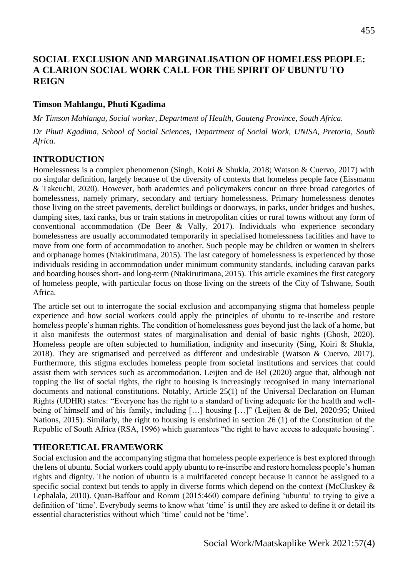# **SOCIAL EXCLUSION AND MARGINALISATION OF HOMELESS PEOPLE: A CLARION SOCIAL WORK CALL FOR THE SPIRIT OF UBUNTU TO REIGN**

### **Timson Mahlangu, Phuti Kgadima**

*Mr Timson Mahlangu, Social worker, Department of Health, Gauteng Province, South Africa.*

*Dr Phuti Kgadima, School of Social Sciences, Department of Social Work, UNISA, Pretoria, South Africa.*

### **INTRODUCTION**

Homelessness is a complex phenomenon (Singh, Koiri & Shukla, 2018; Watson & Cuervo, 2017) with no singular definition, largely because of the diversity of contexts that homeless people face (Eissmann & Takeuchi, 2020). However, both academics and policymakers concur on three broad categories of homelessness, namely primary, secondary and tertiary homelessness. Primary homelessness denotes those living on the street pavements, derelict buildings or doorways, in parks, under bridges and bushes, dumping sites, taxi ranks, bus or train stations in metropolitan cities or rural towns without any form of conventional accommodation (De Beer & Vally, 2017). Individuals who experience secondary homelessness are usually accommodated temporarily in specialised homelessness facilities and have to move from one form of accommodation to another. Such people may be children or women in shelters and orphanage homes (Ntakirutimana, 2015). The last category of homelessness is experienced by those individuals residing in accommodation under minimum community standards, including caravan parks and boarding houses short- and long-term (Ntakirutimana, 2015). This article examines the first category of homeless people, with particular focus on those living on the streets of the City of Tshwane, South Africa.

The article set out to interrogate the social exclusion and accompanying stigma that homeless people experience and how social workers could apply the principles of ubuntu to re-inscribe and restore homeless people's human rights. The condition of homelessness goes beyond just the lack of a home, but it also manifests the outermost states of marginalisation and denial of basic rights (Ghosh, 2020). Homeless people are often subjected to humiliation, indignity and insecurity (Sing, Koiri & Shukla, 2018). They are stigmatised and perceived as different and undesirable (Watson & Cuervo, 2017). Furthermore, this stigma excludes homeless people from societal institutions and services that could assist them with services such as accommodation. Leijten and de Bel (2020) argue that, although not topping the list of social rights, the right to housing is increasingly recognised in many international documents and national constitutions. Notably, Article 25(1) of the Universal Declaration on Human Rights (UDHR) states: "Everyone has the right to a standard of living adequate for the health and wellbeing of himself and of his family, including […] housing […]" (Leijten & de Bel, 2020:95; United Nations, 2015). Similarly, the right to housing is enshrined in section 26 (1) of the Constitution of the Republic of South Africa (RSA, 1996) which guarantees "the right to have access to adequate housing".

## **THEORETICAL FRAMEWORK**

Social exclusion and the accompanying stigma that homeless people experience is best explored through the lens of ubuntu. Social workers could apply ubuntu to re-inscribe and restore homeless people's human rights and dignity. The notion of ubuntu is a multifaceted concept because it cannot be assigned to a specific social context but tends to apply in diverse forms which depend on the context (McCluskey  $\&$ Lephalala, 2010). Quan-Baffour and Romm (2015:460) compare defining 'ubuntu' to trying to give a definition of 'time'. Everybody seems to know what 'time' is until they are asked to define it or detail its essential characteristics without which 'time' could not be 'time'.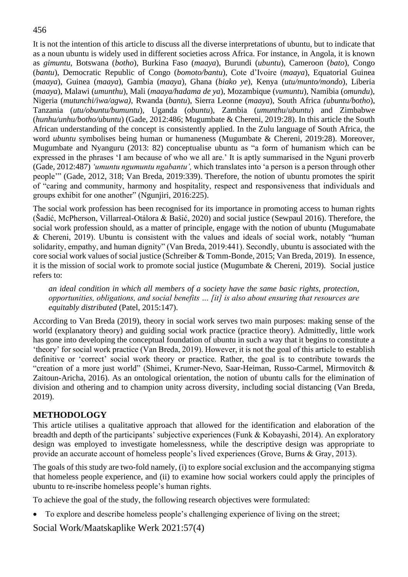It is not the intention of this article to discuss all the diverse interpretations of ubuntu, but to indicate that as a noun ubuntu is widely used in different societies across Africa. For instance, in Angola, it is known as *gimuntu*, Botswana (*botho*), Burkina Faso (*maaya*), Burundi (*ubuntu*), Cameroon (*bato*), Congo (*bantu*), Democratic Republic of Congo (*bomoto/bantu*), Cote d'Ivoire (*maaya*), Equatorial Guinea (*maaya*), Guinea (*maaya*), Gambia (*maaya*), Ghana (*biako ye*), Kenya (*utu/munto/mondo*), Liberia (*maaya*), Malawi (*umunthu*), Mali (*maaya/hadama de ya*), Mozambique (*vumuntu*), Namibia (*omundu*), Nigeria (*mutunchi/iwa/agwa)*, Rwanda (*bantu*), Sierra Leonne (*maaya*), South Africa *(ubuntu/botho*), Tanzania (*utu/obuntu/bumuntu*), Uganda (*obuntu*), Zambia (*umunthu*/*ubuntu*) and Zimbabwe (*hunhu/unhu/botho/ubuntu*) (Gade, 2012:486; Mugumbate & Chereni, 2019:28). In this article the South African understanding of the concept is consistently applied. In the Zulu language of South Africa, the word *ubuntu* symbolises being human or humaneness (Mugumbate & Chereni, 2019:28). Moreover, Mugumbate and Nyanguru (2013: 82) conceptualise ubuntu as "a form of humanism which can be expressed in the phrases 'I am because of who we all are.' It is aptly summarised in the Nguni proverb (Gade, 2012:487) *'umuntu ngumuntu ngabantu',* which translates into 'a person is a person through other people'" (Gade, 2012, 318; Van Breda, 2019:339). Therefore, the notion of ubuntu promotes the spirit of "caring and community, harmony and hospitality, respect and responsiveness that individuals and groups exhibit for one another" (Ngunjiri, 2016:225).

The social work profession has been recognised for its importance in promoting access to human rights (Šadić, McPherson, Villarreal-Otálora & Bašić, 2020) and social justice (Sewpaul 2016). Therefore, the social work profession should, as a matter of principle, engage with the notion of ubuntu (Mugumabate & Chereni, 2019). Ubuntu is consistent with the values and ideals of social work, notably "human solidarity, empathy, and human dignity" (Van Breda, 2019:441). Secondly, ubuntu is associated with the core social work values of social justice (Schreiber & Tomm-Bonde, 2015; Van Breda, 2019). In essence, it is the mission of social work to promote social justice (Mugumbate & Chereni, 2019). Social justice refers to:

*an ideal condition in which all members of a society have the same basic rights, protection, opportunities, obligations, and social benefits … [it] is also about ensuring that resources are equitably distributed* (Patel, 2015:147).

According to Van Breda (2019), theory in social work serves two main purposes: making sense of the world (explanatory theory) and guiding social work practice (practice theory). Admittedly, little work has gone into developing the conceptual foundation of ubuntu in such a way that it begins to constitute a 'theory' for social work practice (Van Breda, 2019). However, it is not the goal of this article to establish definitive or 'correct' social work theory or practice. Rather, the goal is to contribute towards the "creation of a more just world" (Shimei, Krumer-Nevo, Saar-Heiman, Russo-Carmel, Mirmovitch & Zaitoun-Aricha, 2016). As an ontological orientation, the notion of ubuntu calls for the elimination of division and othering and to champion unity across diversity, including social distancing (Van Breda, 2019).

## **METHODOLOGY**

This article utilises a qualitative approach that allowed for the identification and elaboration of the breadth and depth of the participants' subjective experiences (Funk & Kobayashi, 2014). An exploratory design was employed to investigate homelessness, while the descriptive design was appropriate to provide an accurate account of homeless people's lived experiences (Grove, Burns & Gray, 2013).

The goals of this study are two-fold namely, (i) to explore social exclusion and the accompanying stigma that homeless people experience, and (ii) to examine how social workers could apply the principles of ubuntu to re-inscribe homeless people's human rights.

To achieve the goal of the study, the following research objectives were formulated:

• To explore and describe homeless people's challenging experience of living on the street;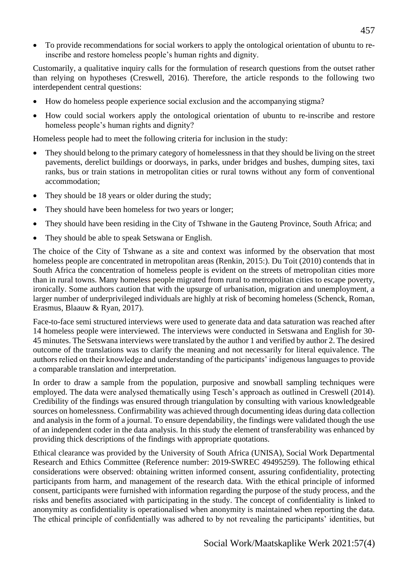• To provide recommendations for social workers to apply the ontological orientation of ubuntu to reinscribe and restore homeless people's human rights and dignity.

Customarily, a qualitative inquiry calls for the formulation of research questions from the outset rather than relying on hypotheses (Creswell, 2016). Therefore, the article responds to the following two interdependent central questions:

- How do homeless people experience social exclusion and the accompanying stigma?
- How could social workers apply the ontological orientation of ubuntu to re-inscribe and restore homeless people's human rights and dignity?

Homeless people had to meet the following criteria for inclusion in the study:

- They should belong to the primary category of homelessness in that they should be living on the street pavements, derelict buildings or doorways, in parks, under bridges and bushes, dumping sites, taxi ranks, bus or train stations in metropolitan cities or rural towns without any form of conventional accommodation;
- They should be 18 years or older during the study;
- They should have been homeless for two years or longer;
- They should have been residing in the City of Tshwane in the Gauteng Province, South Africa; and
- They should be able to speak Setswana or English.

The choice of the City of Tshwane as a site and context was informed by the observation that most homeless people are concentrated in metropolitan areas (Renkin, 2015:). Du Toit (2010) contends that in South Africa the concentration of homeless people is evident on the streets of metropolitan cities more than in rural towns. Many homeless people migrated from rural to metropolitan cities to escape poverty, ironically. Some authors caution that with the upsurge of urbanisation, migration and unemployment, a larger number of underprivileged individuals are highly at risk of becoming homeless (Schenck, Roman, Erasmus, Blaauw & Ryan, 2017).

Face-to-face semi structured interviews were used to generate data and data saturation was reached after 14 homeless people were interviewed. The interviews were conducted in Setswana and English for 30- 45 minutes. The Setswana interviews were translated by the author 1 and verified by author 2. The desired outcome of the translations was to clarify the meaning and not necessarily for literal equivalence. The authors relied on their knowledge and understanding of the participants' indigenous languages to provide a comparable translation and interpretation.

In order to draw a sample from the population, purposive and snowball sampling techniques were employed. The data were analysed thematically using Tesch's approach as outlined in Creswell (2014). Credibility of the findings was ensured through triangulation by consulting with various knowledgeable sources on homelessness. Confirmability was achieved through documenting ideas during data collection and analysis in the form of a journal. To ensure dependability, the findings were validated though the use of an independent coder in the data analysis. In this study the element of transferability was enhanced by providing thick descriptions of the findings with appropriate quotations.

Ethical clearance was provided by the University of South Africa (UNISA), Social Work Departmental Research and Ethics Committee (Reference number: 2019-SWREC 49495259). The following ethical considerations were observed: obtaining written informed consent, assuring confidentiality, protecting participants from harm, and management of the research data. With the ethical principle of informed consent, participants were furnished with information regarding the purpose of the study process, and the risks and benefits associated with participating in the study. The concept of confidentiality is linked to anonymity as confidentiality is operationalised when anonymity is maintained when reporting the data. The ethical principle of confidentially was adhered to by not revealing the participants' identities, but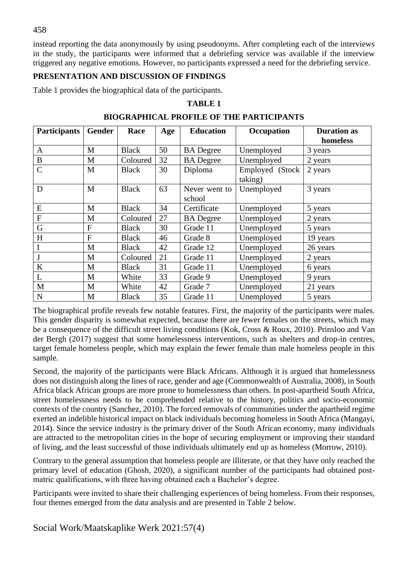instead reporting the data anonymously by using pseudonyms. After completing each of the interviews in the study, the participants were informed that a debriefing service was available if the interview triggered any negative emotions. However, no participants expressed a need for the debriefing service.

#### **PRESENTATION AND DISCUSSION OF FINDINGS**

Table 1 provides the biographical data of the participants.

### **TABLE 1**

| <b>Participants</b> | Gender         | Race         | Age | <b>Education</b>        | Occupation                 | <b>Duration as</b> |
|---------------------|----------------|--------------|-----|-------------------------|----------------------------|--------------------|
|                     |                |              |     |                         |                            | homeless           |
| A                   | M              | <b>Black</b> | 50  | <b>BA</b> Degree        | Unemployed                 | 3 years            |
| B                   | M              | Coloured     | 32  | <b>BA</b> Degree        | Unemployed                 | 2 years            |
| $\overline{C}$      | M              | <b>Black</b> | 30  | Diploma                 | Employed (Stock<br>taking) | 2 years            |
| D                   | M              | <b>Black</b> | 63  | Never went to<br>school | Unemployed                 | 3 years            |
| E                   | M              | <b>Black</b> | 34  | Certificate             | Unemployed                 | 5 years            |
| $\mathbf F$         | M              | Coloured     | 27  | <b>BA</b> Degree        | Unemployed                 | 2 years            |
| G                   | $\mathbf F$    | <b>Black</b> | 30  | Grade 11                | Unemployed                 | 5 years            |
| H                   | $\overline{F}$ | <b>Black</b> | 46  | Grade 8                 | Unemployed                 | 19 years           |
| I                   | M              | <b>Black</b> | 42  | Grade 12                | Unemployed                 | 26 years           |
|                     | M              | Coloured     | 21  | Grade 11                | Unemployed                 | 2 years            |
| K                   | M              | <b>Black</b> | 31  | Grade 11                | Unemployed                 | 6 years            |
| L                   | M              | White        | 33  | Grade 9                 | Unemployed                 | 9 years            |
| $\mathbf{M}$        | M              | White        | 42  | Grade 7                 | Unemployed                 | 21 years           |
| ${\bf N}$           | M              | <b>Black</b> | 35  | Grade 11                | Unemployed                 | 5 years            |

#### **BIOGRAPHICAL PROFILE OF THE PARTICIPANTS**

The biographical profile reveals few notable features. First, the majority of the participants were males. This gender disparity is somewhat expected, because there are fewer females on the streets, which may be a consequence of the difficult street living conditions (Kok, Cross & Roux, 2010). Prinsloo and Van der Bergh (2017) suggest that some homelessness interventions, such as shelters and drop-in centres, target female homeless people, which may explain the fewer female than male homeless people in this sample.

Second, the majority of the participants were Black Africans. Although it is argued that homelessness does not distinguish along the lines of race, gender and age (Commonwealth of Australia, 2008), in South Africa black African groups are more prone to homelessness than others. In post-apartheid South Africa, street homelessness needs to be comprehended relative to the history, politics and socio-economic contexts of the country (Sanchez, 2010). The forced removals of communities under the apartheid regime exerted an indelible historical impact on black individuals becoming homeless in South Africa (Mangayi, 2014). Since the service industry is the primary driver of the South African economy, many individuals are attracted to the metropolitan cities in the hope of securing employment or improving their standard of living, and the least successful of those individuals ultimately end up as homeless (Morrow, 2010).

Contrary to the general assumption that homeless people are illiterate, or that they have only reached the primary level of education (Ghosh, 2020), a significant number of the participants had obtained postmatric qualifications, with three having obtained each a Bachelor's degree.

Participants were invited to share their challenging experiences of being homeless. From their responses, four themes emerged from the data analysis and are presented in Table 2 below.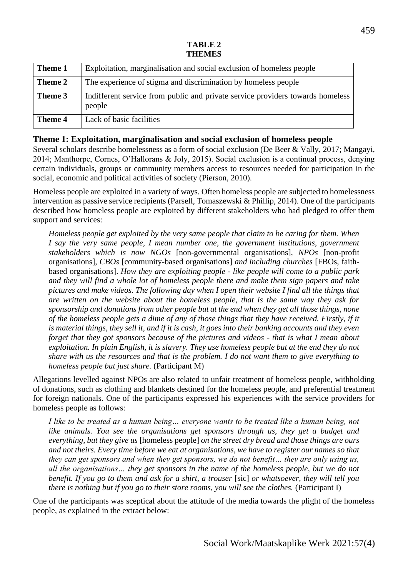### **TABLE 2 THEMES**

| Theme 1 | Exploitation, marginalisation and social exclusion of homeless people                    |
|---------|------------------------------------------------------------------------------------------|
| Theme 2 | The experience of stigma and discrimination by homeless people                           |
| Theme 3 | Indifferent service from public and private service providers towards homeless<br>people |
| Theme 4 | Lack of basic facilities                                                                 |

### **Theme 1: Exploitation, marginalisation and social exclusion of homeless people**

Several scholars describe homelessness as a form of social exclusion (De Beer & Vally, 2017; Mangayi, 2014; Manthorpe, Cornes, O'Hallorans & Joly, 2015). Social exclusion is a continual process, denying certain individuals, groups or community members access to resources needed for participation in the social, economic and political activities of society (Pierson, 2010).

Homeless people are exploited in a variety of ways. Often homeless people are subjected to homelessness intervention as passive service recipients (Parsell, Tomaszewski & Phillip, 2014). One of the participants described how homeless people are exploited by different stakeholders who had pledged to offer them support and services:

*Homeless people get exploited by the very same people that claim to be caring for them. When I say the very same people, I mean number one, the government institutions, government stakeholders which is now NGOs* [non-governmental organisations], *NPOs* [non-profit organisations]*, CBOs* [community-based organisations] *and including churches* [FBOs, faithbased organisations]. *How they are exploiting people - like people will come to a public park and they will find a whole lot of homeless people there and make them sign papers and take pictures and make videos. The following day when I open their website I find all the things that are written on the website about the homeless people, that is the same way they ask for sponsorship and donations from other people but at the end when they get all those things, none of the homeless people gets a dime of any of those things that they have received. Firstly, if it is material things, they sell it, and if it is cash, it goes into their banking accounts and they even forget that they got sponsors because of the pictures and videos - that is what I mean about exploitation. In plain English, it is slavery. They use homeless people but at the end they do not share with us the resources and that is the problem. I do not want them to give everything to homeless people but just share.* (Participant M)

Allegations levelled against NPOs are also related to unfair treatment of homeless people, withholding of donations, such as clothing and blankets destined for the homeless people, and preferential treatment for foreign nationals. One of the participants expressed his experiences with the service providers for homeless people as follows:

*I like to be treated as a human being... everyone wants to be treated like a human being, not like animals. You see the organisations get sponsors through us, they get a budget and everything, but they give us* [homeless people] *on the street dry bread and those things are ours and not theirs. Every time before we eat at organisations, we have to register our names so that they can get sponsors and when they get sponsors, we do not benefit… they are only using us, all the organisations… they get sponsors in the name of the homeless people, but we do not benefit. If you go to them and ask for a shirt, a trouser* [sic] *or whatsoever, they will tell you there is nothing but if you go to their store rooms, you will see the clothes.* (Participant I)

One of the participants was sceptical about the attitude of the media towards the plight of the homeless people, as explained in the extract below: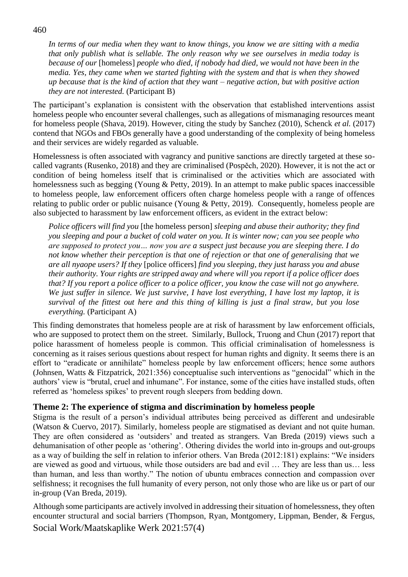*In terms of our media when they want to know things, you know we are sitting with a media that only publish what is sellable. The only reason why we see ourselves in media today is because of our* [homeless] *people who died, if nobody had died, we would not have been in the media. Yes, they came when we started fighting with the system and that is when they showed up because that is the kind of action that they want – negative action, but with positive action they are not interested.* (Participant B)

The participant's explanation is consistent with the observation that established interventions assist homeless people who encounter several challenges, such as allegations of mismanaging resources meant for homeless people (Shava, 2019). However, citing the study by Sanchez (2010), Schenck *et al.* (2017) contend that NGOs and FBOs generally have a good understanding of the complexity of being homeless and their services are widely regarded as valuable.

Homelessness is often associated with vagrancy and punitive sanctions are directly targeted at these socalled vagrants (Rusenko, 2018) and they are criminalised (Pospěch, 2020). However, it is not the act or condition of being homeless itself that is criminalised or the activities which are associated with homelessness such as begging (Young & Petty, 2019). In an attempt to make public spaces inaccessible to homeless people, law enforcement officers often charge homeless people with a range of offences relating to public order or public nuisance (Young & Petty, 2019). Consequently, homeless people are also subjected to harassment by law enforcement officers, as evident in the extract below:

*Police officers will find you* [the homeless person] *sleeping and abuse their authority; they find you sleeping and pour a bucket of cold water on you. It is winter now; can you see people who are supposed to protect you… now you are a suspect just because you are sleeping there. I do not know whether their perception is that one of rejection or that one of generalising that we are all nyaope users? If they* [police officers] *find you sleeping, they just harass you and abuse their authority. Your rights are stripped away and where will you report if a police officer does that? If you report a police officer to a police officer, you know the case will not go anywhere. We just suffer in silence. We just survive, I have lost everything, I have lost my laptop, it is survival of the fittest out here and this thing of killing is just a final straw, but you lose everything.* (Participant A)

This finding demonstrates that homeless people are at risk of harassment by law enforcement officials, who are supposed to protect them on the street. Similarly, Bullock, Truong and Chun (2017) report that police harassment of homeless people is common. This official criminalisation of homelessness is concerning as it raises serious questions about respect for human rights and dignity. It seems there is an effort to "eradicate or annihilate" homeless people by law enforcement officers; hence some authors (Johnsen, Watts & Fitzpatrick, 2021:356) conceptualise such interventions as "genocidal" which in the authors' view is "brutal, cruel and inhumane". For instance, some of the cities have installed studs, often referred as 'homeless spikes' to prevent rough sleepers from bedding down.

### **Theme 2: The experience of stigma and discrimination by homeless people**

Stigma is the result of a person's individual attributes being perceived as different and undesirable (Watson & Cuervo, 2017). Similarly, homeless people are stigmatised as deviant and not quite human. They are often considered as 'outsiders' and treated as strangers. Van Breda (2019) views such a dehumanisation of other people as 'othering'. Othering divides the world into in-groups and out-groups as a way of building the self in relation to inferior others. Van Breda (2012:181) explains: "We insiders are viewed as good and virtuous, while those outsiders are bad and evil … They are less than us… less than human, and less than worthy." The notion of ubuntu embraces connection and compassion over selfishness; it recognises the full humanity of every person, not only those who are like us or part of our in-group (Van Breda, 2019).

Social Work/Maatskaplike Werk 2021:57(4) Although some participants are actively involved in addressing their situation of homelessness, they often encounter structural and social barriers (Thompson, Ryan, Montgomery, Lippman, Bender, & Fergus,

#### 460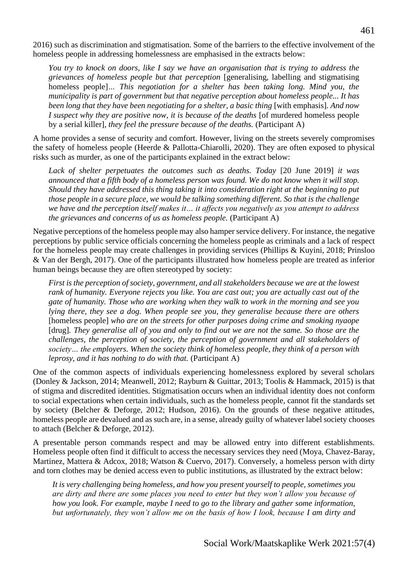2016) such as discrimination and stigmatisation. Some of the barriers to the effective involvement of the homeless people in addressing homelessness are emphasised in the extracts below:

*You try to knock on doors, like I say we have an organisation that is trying to address the grievances of homeless people but that perception* [generalising, labelling and stigmatising homeless people]*… This negotiation for a shelter has been taking long. Mind you, the municipality is part of government but that negative perception about homeless people... It has been long that they have been negotiating for a shelter, a basic thing* [with emphasis]. And now *I* suspect why they are positive now, it is because of the deaths [of murdered homeless people by a serial killer]*, they feel the pressure because of the deaths.* (Participant A)

A home provides a sense of security and comfort. However, living on the streets severely compromises the safety of homeless people (Heerde & Pallotta-Chiarolli, 2020). They are often exposed to physical risks such as murder, as one of the participants explained in the extract below:

*Lack of shelter perpetuates the outcomes such as deaths. Today* [20 June 2019] *it was announced that a fifth body of a homeless person was found. We do not know when it will stop. Should they have addressed this thing taking it into consideration right at the beginning to put those people in a secure place, we would be talking something different. So that is the challenge we have and the perception itself makes it… it affects you negatively as you attempt to address the grievances and concerns of us as homeless people.* (Participant A)

Negative perceptions of the homeless people may also hamper service delivery. For instance, the negative perceptions by public service officials concerning the homeless people as criminals and a lack of respect for the homeless people may create challenges in providing services (Phillips & Kuyini, 2018; Prinsloo & Van der Bergh, 2017). One of the participants illustrated how homeless people are treated as inferior human beings because they are often stereotyped by society:

*First is the perception of society, government, and all stakeholders because we are at the lowest rank of humanity. Everyone rejects you like. You are cast out; you are actually cast out of the gate of humanity. Those who are working when they walk to work in the morning and see you lying there, they see a dog. When people see you, they generalise because there are others*  [homeless people] *who are on the streets for other purposes doing crime and smoking nyaope*  [drug]*. They generalise all of you and only to find out we are not the same. So those are the challenges, the perception of society, the perception of government and all stakeholders of society… the employers. When the society think of homeless people, they think of a person with leprosy, and it has nothing to do with that.* (Participant A)

One of the common aspects of individuals experiencing homelessness explored by several scholars (Donley & Jackson, 2014; Meanwell, 2012; Rayburn & Guittar, 2013; Toolis & Hammack, 2015) is that of stigma and discredited identities. Stigmatisation occurs when an individual identity does not conform to social expectations when certain individuals, such as the homeless people, cannot fit the standards set by society (Belcher & Deforge, 2012; Hudson, 2016). On the grounds of these negative attitudes, homeless people are devalued and as such are, in a sense, already guilty of whatever label society chooses to attach (Belcher & Deforge, 2012).

A presentable person commands respect and may be allowed entry into different establishments. Homeless people often find it difficult to access the necessary services they need (Moya, Chavez-Baray, Martinez, Mattera & Adcox, 2018; Watson & Cuervo, 2017). Conversely, a homeless person with dirty and torn clothes may be denied access even to public institutions, as illustrated by the extract below:

*It is very challenging being homeless, and how you present yourself to people, sometimes you are dirty and there are some places you need to enter but they won't allow you because of how you look. For example, maybe I need to go to the library and gather some information, but unfortunately, they won't allow me on the basis of how I look, because I am dirty and*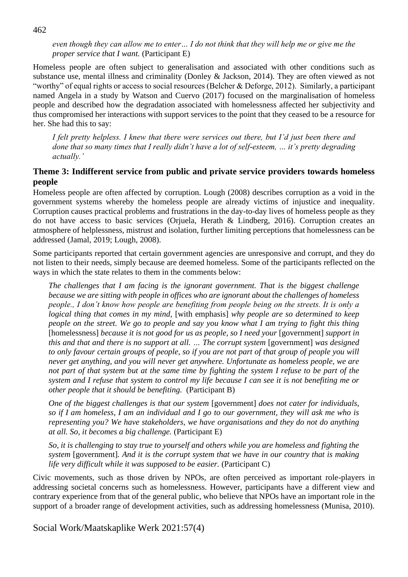*even though they can allow me to enter… I do not think that they will help me or give me the proper service that I want.* (Participant E)

Homeless people are often subject to generalisation and associated with other conditions such as substance use, mental illness and criminality (Donley & Jackson, 2014). They are often viewed as not "worthy" of equal rights or access to social resources (Belcher & Deforge, 2012). Similarly, a participant named Angela in a study by Watson and Cuervo (2017) focused on the marginalisation of homeless people and described how the degradation associated with homelessness affected her subjectivity and thus compromised her interactions with support services to the point that they ceased to be a resource for her. She had this to say:

*I felt pretty helpless. I knew that there were services out there, but I'd just been there and done that so many times that I really didn't have a lot of self-esteem, … it's pretty degrading actually.'*

### **Theme 3: Indifferent service from public and private service providers towards homeless people**

Homeless people are often affected by corruption. Lough (2008) describes corruption as a void in the government systems whereby the homeless people are already victims of injustice and inequality. Corruption causes practical problems and frustrations in the day-to-day lives of homeless people as they do not have access to basic services (Orjuela, Herath & Lindberg, 2016). Corruption creates an atmosphere of helplessness, mistrust and isolation, further limiting perceptions that homelessness can be addressed (Jamal, 2019; Lough, 2008).

Some participants reported that certain government agencies are unresponsive and corrupt, and they do not listen to their needs, simply because are deemed homeless. Some of the participants reflected on the ways in which the state relates to them in the comments below:

*The challenges that I am facing is the ignorant government. That is the biggest challenge because we are sitting with people in offices who are ignorant about the challenges of homeless people., I don't know how people are benefiting from people being on the streets. It is only a logical thing that comes in my mind,* [with emphasis] *why people are so determined to keep people on the street. We go to people and say you know what I am trying to fight this thing* [homelessness] *because it is not good for us as people, so I need your* [government] *support in this and that and there is no support at all. ... The corrupt system* [government] *was designed to only favour certain groups of people, so if you are not part of that group of people you will never get anything, and you will never get anywhere. Unfortunate as homeless people, we are not part of that system but at the same time by fighting the system I refuse to be part of the system and I refuse that system to control my life because I can see it is not benefiting me or other people that it should be benefiting.* (Participant B)

*One of the biggest challenges is that our system* [government] *does not cater for individuals, so if I am homeless, I am an individual and I go to our government, they will ask me who is representing you? We have stakeholders, we have organisations and they do not do anything at all. So, it becomes a big challenge.* (Participant E)

*So, it is challenging to stay true to yourself and others while you are homeless and fighting the system* [government]*. And it is the corrupt system that we have in our country that is making life very difficult while it was supposed to be easier.* (Participant C)

Civic movements, such as those driven by NPOs, are often perceived as important role-players in addressing societal concerns such as homelessness. However, participants have a different view and contrary experience from that of the general public, who believe that NPOs have an important role in the support of a broader range of development activities, such as addressing homelessness (Munisa, 2010).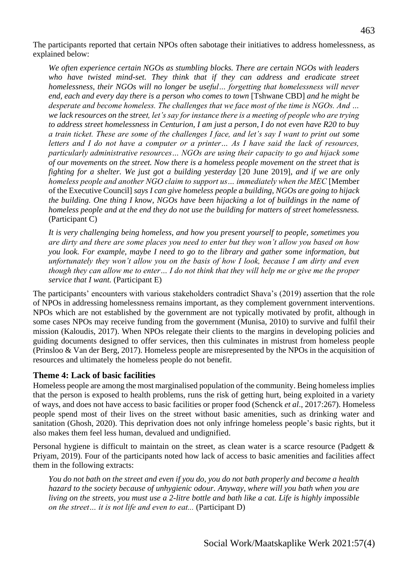The participants reported that certain NPOs often sabotage their initiatives to address homelessness, as explained below:

*We often experience certain NGOs as stumbling blocks. There are certain NGOs with leaders*  who have twisted mind-set. They think that if they can address and eradicate street *homelessness, their NGOs will no longer be useful… forgetting that homelessness will never end, each and every day there is a person who comes to town* [Tshwane CBD] *and he might be desperate and become homeless. The challenges that we face most of the time is NGOs. And … we lack resources on the street, let's say for instance there is a meeting of people who are trying to address street homelessness in Centurion, I am just a person, I do not even have R20 to buy a train ticket. These are some of the challenges I face, and let's say I want to print out some letters and I do not have a computer or a printer… As I have said the lack of resources, particularly administrative resources… NGOs are using their capacity to go and hijack some of our movements on the street. Now there is a homeless people movement on the street that is fighting for a shelter. We just got a building yesterday* [20 June 2019]*, and if we are only homeless people and another NGO claim to support us... immediately when the MEC* [Member of the Executive Council] *says I can give homeless people a building, NGOs are going to hijack the building. One thing I know, NGOs have been hijacking a lot of buildings in the name of homeless people and at the end they do not use the building for matters of street homelessness.* (Participant C)

*It is very challenging being homeless, and how you present yourself to people, sometimes you are dirty and there are some places you need to enter but they won't allow you based on how you look. For example, maybe I need to go to the library and gather some information, but unfortunately they won't allow you on the basis of how I look, because I am dirty and even though they can allow me to enter… I do not think that they will help me or give me the proper service that I want.* (Participant E)

The participants' encounters with various stakeholders contradict Shava's (2019) assertion that the role of NPOs in addressing homelessness remains important, as they complement government interventions. NPOs which are not established by the government are not typically motivated by profit, although in some cases NPOs may receive funding from the government (Munisa, 2010) to survive and fulfil their mission (Kaloudis, 2017). When NPOs relegate their clients to the margins in developing policies and guiding documents designed to offer services, then this culminates in mistrust from homeless people (Prinsloo & Van der Berg, 2017). Homeless people are misrepresented by the NPOs in the acquisition of resources and ultimately the homeless people do not benefit.

### **Theme 4: Lack of basic facilities**

Homeless people are among the most marginalised population of the community. Being homeless implies that the person is exposed to health problems, runs the risk of getting hurt, being exploited in a variety of ways, and does not have access to basic facilities or proper food (Schenck *et al*., 2017:267). Homeless people spend most of their lives on the street without basic amenities, such as drinking water and sanitation (Ghosh, 2020). This deprivation does not only infringe homeless people's basic rights, but it also makes them feel less human, devalued and undignified.

Personal hygiene is difficult to maintain on the street, as clean water is a scarce resource (Padgett & Priyam, 2019). Four of the participants noted how lack of access to basic amenities and facilities affect them in the following extracts:

*You do not bath on the street and even if you do, you do not bath properly and become a health hazard to the society because of unhygienic odour. Anyway, where will you bath when you are living on the streets, you must use a 2-litre bottle and bath like a cat. Life is highly impossible on the street… it is not life and even to eat...* (Participant D)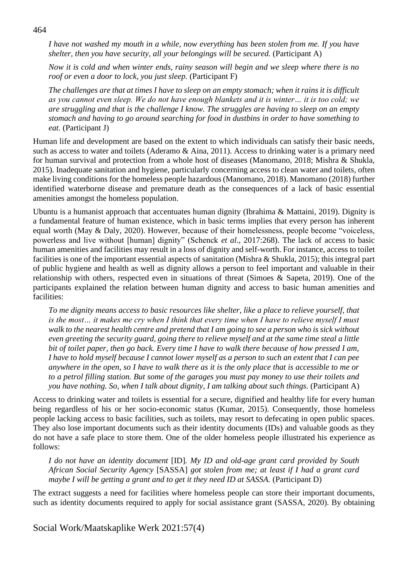*I have not washed my mouth in a while, now everything has been stolen from me. If you have shelter, then you have security, all your belongings will be secured.* (Participant A)

*Now it is cold and when winter ends, rainy season will begin and we sleep where there is no roof or even a door to lock, you just sleep.* (Participant F)

*The challenges are that at times I have to sleep on an empty stomach; when it rains it is difficult as you cannot even sleep. We do not have enough blankets and it is winter… it is too cold; we are struggling and that is the challenge I know. The struggles are having to sleep on an empty stomach and having to go around searching for food in dustbins in order to have something to eat.* (Participant J)

Human life and development are based on the extent to which individuals can satisfy their basic needs, such as access to water and toilets (Aderamo & Aina, 2011). Access to drinking water is a primary need for human survival and protection from a whole host of diseases (Manomano, 2018; Mishra & Shukla, 2015). Inadequate sanitation and hygiene, particularly concerning access to clean water and toilets, often make living conditions for the homeless people hazardous (Manomano, 2018). Manomano (2018) further identified waterborne disease and premature death as the consequences of a lack of basic essential amenities amongst the homeless population.

Ubuntu is a humanist approach that accentuates human dignity (Ibrahima & Mattaini, 2019). Dignity is a fundamental feature of human existence, which in basic terms implies that every person has inherent equal worth (May & Daly, 2020). However, because of their homelessness, people become "voiceless, powerless and live without [human] dignity" (Schenck *et al*., 2017:268). The lack of access to basic human amenities and facilities may result in a loss of dignity and self-worth. For instance, access to toilet facilities is one of the important essential aspects of sanitation (Mishra & Shukla, 2015); this integral part of public hygiene and health as well as dignity allows a person to feel important and valuable in their relationship with others, respected even in situations of threat (Simoes & Sapeta, 2019). One of the participants explained the relation between human dignity and access to basic human amenities and facilities:

*To me dignity means access to basic resources like shelter, like a place to relieve yourself, that is the most… it makes me cry when I think that every time when I have to relieve myself I must walk to the nearest health centre and pretend that I am going to see a person who is sick without even greeting the security guard, going there to relieve myself and at the same time steal a little bit of toilet paper, then go back. Every time I have to walk there because of how pressed I am, I have to hold myself because I cannot lower myself as a person to such an extent that I can pee anywhere in the open, so I have to walk there as it is the only place that is accessible to me or to a petrol filling station. But some of the garages you must pay money to use their toilets and you have nothing. So, when I talk about dignity, I am talking about such things.* (Participant A)

Access to drinking water and toilets is essential for a secure, dignified and healthy life for every human being regardless of his or her socio-economic status (Kumar, 2015). Consequently, those homeless people lacking access to basic facilities, such as toilets, may resort to defecating in open public spaces. They also lose important documents such as their identity documents (IDs) and valuable goods as they do not have a safe place to store them. One of the older homeless people illustrated his experience as follows:

*I do not have an identity document* [ID]*. My ID and old-age grant card provided by South African Social Security Agency* [SASSA] *got stolen from me; at least if I had a grant card maybe I will be getting a grant and to get it they need ID at SASSA.* (Participant D)

The extract suggests a need for facilities where homeless people can store their important documents, such as identity documents required to apply for social assistance grant (SASSA, 2020). By obtaining

Social Work/Maatskaplike Werk 2021:57(4)

#### 464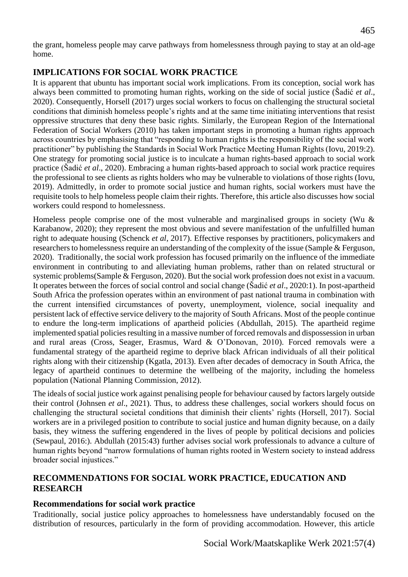the grant, homeless people may carve pathways from homelessness through paying to stay at an old-age home.

# **IMPLICATIONS FOR SOCIAL WORK PRACTICE**

It is apparent that ubuntu has important social work implications. From its conception, social work has always been committed to promoting human rights, working on the side of social justice (Šadić *et al*., 2020). Consequently, Horsell (2017) urges social workers to focus on challenging the structural societal conditions that diminish homeless people's rights and at the same time initiating interventions that resist oppressive structures that deny these basic rights. Similarly, the European Region of the International Federation of Social Workers (2010) has taken important steps in promoting a human rights approach across countries by emphasising that "responding to human rights is the responsibility of the social work practitioner" by publishing the Standards in Social Work Practice Meeting Human Rights (Iovu, 2019:2). One strategy for promoting social justice is to inculcate a human rights-based approach to social work practice (Šadić *et al*., 2020). Embracing a human rights-based approach to social work practice requires the professional to see clients as rights holders who may be vulnerable to violations of those rights (Iovu, 2019). Admittedly, in order to promote social justice and human rights, social workers must have the requisite tools to help homeless people claim their rights. Therefore, this article also discusses how social workers could respond to homelessness.

Homeless people comprise one of the most vulnerable and marginalised groups in society (Wu & Karabanow, 2020); they represent the most obvious and severe manifestation of the unfulfilled human right to adequate housing (Schenck *et al*, 2017). Effective responses by practitioners, policymakers and researchers to homelessness require an understanding of the complexity of the issue (Sample & Ferguson, 2020). Traditionally, the social work profession has focused primarily on the influence of the immediate environment in contributing to and alleviating human problems, rather than on related structural or systemic problems(Sample & Ferguson, 2020). But the social work profession does not exist in a vacuum. It operates between the forces of social control and social change (Šadić *et al*., 2020:1). In post-apartheid South Africa the profession operates within an environment of past national trauma in combination with the current intensified circumstances of poverty, unemployment, violence, social inequality and persistent lack of effective service delivery to the majority of South Africans. Most of the people continue to endure the long-term implications of apartheid policies (Abdullah, 2015). The apartheid regime implemented spatial policies resulting in a massive number of forced removals and dispossession in urban and rural areas (Cross, Seager, Erasmus, Ward & O'Donovan, 2010). Forced removals were a fundamental strategy of the apartheid regime to deprive black African individuals of all their political rights along with their citizenship (Kgatla, 2013). Even after decades of democracy in South Africa, the legacy of apartheid continues to determine the wellbeing of the majority, including the homeless population (National Planning Commission, 2012).

The ideals of social justice work against penalising people for behaviour caused by factors largely outside their control (Johnsen *et al*., 2021). Thus, to address these challenges, social workers should focus on challenging the structural societal conditions that diminish their clients' rights (Horsell, 2017). Social workers are in a privileged position to contribute to social justice and human dignity because, on a daily basis, they witness the suffering engendered in the lives of people by political decisions and policies (Sewpaul, 2016:). Abdullah (2015:43) further advises social work professionals to advance a culture of human rights beyond "narrow formulations of human rights rooted in Western society to instead address broader social injustices."

# **RECOMMENDATIONS FOR SOCIAL WORK PRACTICE, EDUCATION AND RESEARCH**

## **Recommendations for social work practice**

Traditionally, social justice policy approaches to homelessness have understandably focused on the distribution of resources, particularly in the form of providing accommodation. However, this article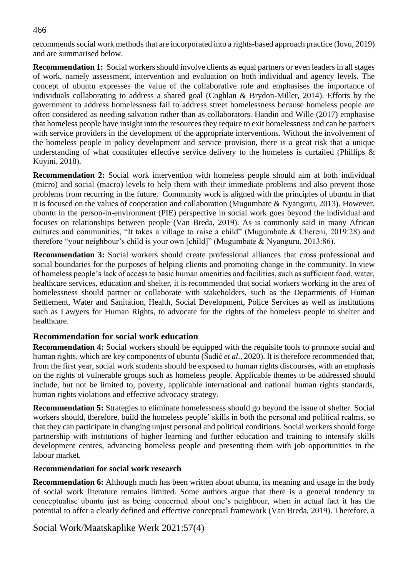recommends social work methods that are incorporated into a rights-based approach practice (Iovu, 2019) and are summarised below.

**Recommendation 1:** Social workers should involve clients as equal partners or even leaders in all stages of work, namely assessment, intervention and evaluation on both individual and agency levels. The concept of ubuntu expresses the value of the collaborative role and emphasises the importance of individuals collaborating to address a shared goal (Coghlan & Brydon-Miller, 2014). Efforts by the government to address homelessness fail to address street homelessness because homeless people are often considered as needing salvation rather than as collaborators. Handin and Wille (2017) emphasise that homeless people have insight into the resources they require to exit homelessness and can be partners with service providers in the development of the appropriate interventions. Without the involvement of the homeless people in policy development and service provision, there is a great risk that a unique understanding of what constitutes effective service delivery to the homeless is curtailed (Phillips  $\&$ Kuyini, 2018).

**Recommendation 2:** Social work intervention with homeless people should aim at both individual (micro) and social (macro) levels to help them with their immediate problems and also prevent those problems from recurring in the future. Community work is aligned with the principles of ubuntu in that it is focused on the values of cooperation and collaboration (Mugumbate & Nyanguru, 2013). However, ubuntu in the person-in-environment (PIE) perspective in social work goes beyond the individual and focuses on relationships between people (Van Breda, 2019). As is commonly said in many African cultures and communities, "It takes a village to raise a child" (Mugumbate & Chereni, 2019:28) and therefore "your neighbour's child is your own [child]" (Mugumbate & Nyanguru, 2013:86).

**Recommendation 3:** Social workers should create professional alliances that cross professional and social boundaries for the purposes of helping clients and promoting change in the community. In view of homeless people's lack of access to basic human amenities and facilities, such as sufficient food, water, healthcare services, education and shelter, it is recommended that social workers working in the area of homelessness should partner or collaborate with stakeholders, such as the Departments of Human Settlement, Water and Sanitation, Health, Social Development, Police Services as well as institutions such as Lawyers for Human Rights, to advocate for the rights of the homeless people to shelter and healthcare.

## **Recommendation for social work education**

**Recommendation 4:** Social workers should be equipped with the requisite tools to promote social and human rights, which are key components of ubuntu (Šadić *et al*., 2020). It is therefore recommended that, from the first year, social work students should be exposed to human rights discourses, with an emphasis on the rights of vulnerable groups such as homeless people. Applicable themes to be addressed should include, but not be limited to, poverty, applicable international and national human rights standards, human rights violations and effective advocacy strategy.

**Recommendation 5:** Strategies to eliminate homelessness should go beyond the issue of shelter. Social workers should, therefore, build the homeless people' skills in both the personal and political realms, so that they can participate in changing unjust personal and political conditions. Social workers should forge partnership with institutions of higher learning and further education and training to intensify skills development centres, advancing homeless people and presenting them with job opportunities in the labour market.

### **Recommendation for social work research**

**Recommendation 6:** Although much has been written about ubuntu, its meaning and usage in the body of social work literature remains limited. Some authors argue that there is a general tendency to conceptualise ubuntu just as being concerned about one's neighbour, when in actual fact it has the potential to offer a clearly defined and effective conceptual framework (Van Breda, 2019). Therefore, a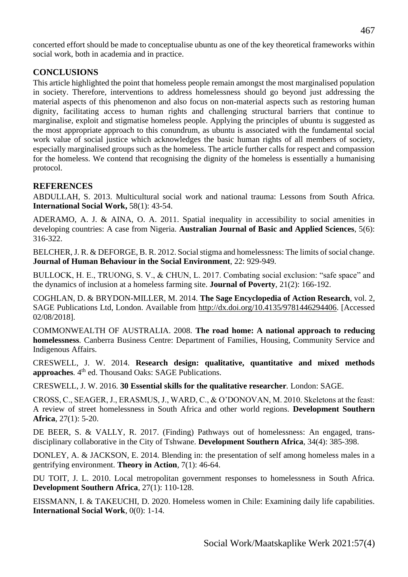concerted effort should be made to conceptualise ubuntu as one of the key theoretical frameworks within social work, both in academia and in practice.

# **CONCLUSIONS**

This article highlighted the point that homeless people remain amongst the most marginalised population in society. Therefore, interventions to address homelessness should go beyond just addressing the material aspects of this phenomenon and also focus on non-material aspects such as restoring human dignity, facilitating access to human rights and challenging structural barriers that continue to marginalise, exploit and stigmatise homeless people. Applying the principles of ubuntu is suggested as the most appropriate approach to this conundrum, as ubuntu is associated with the fundamental social work value of social justice which acknowledges the basic human rights of all members of society, especially marginalised groups such as the homeless. The article further calls for respect and compassion for the homeless. We contend that recognising the dignity of the homeless is essentially a humanising protocol.

# **REFERENCES**

ABDULLAH, S. 2013. Multicultural social work and national trauma: Lessons from South Africa. **International Social Work,** 58(1): 43-54.

ADERAMO, A. J. & AINA, O. A. 2011. Spatial inequality in accessibility to social amenities in developing countries: A case from Nigeria. **Australian Journal of Basic and Applied Sciences**, 5(6): 316-322.

BELCHER, J. R. & DEFORGE, B. R. 2012. Social stigma and homelessness: The limits of social change. **Journal of Human Behaviour in the Social Environment**, 22: 929-949.

BULLOCK, H. E., TRUONG, S. V., & CHUN, L. 2017. Combating social exclusion: "safe space" and the dynamics of inclusion at a homeless farming site. **Journal of Poverty**, 21(2): 166-192.

COGHLAN, D. & BRYDON-MILLER, M. 2014. **The Sage Encyclopedia of Action Research**, vol. 2, SAGE Publications Ltd, London. Available from [http://dx.doi.org/10.4135/9781446294406.](http://dx.doi.org/10.4135/9781446294406) [Accessed 02/08/2018].

COMMONWEALTH OF AUSTRALIA. 2008. **The road home: A national approach to reducing homelessness***.* Canberra Business Centre: Department of Families, Housing, Community Service and Indigenous Affairs.

CRESWELL, J. W. 2014. **Research design: qualitative, quantitative and mixed methods**  approaches. 4<sup>th</sup> ed. Thousand Oaks: SAGE Publications.

CRESWELL, J. W. 2016. **30 Essential skills for the qualitative researcher***.* London: SAGE.

CROSS, C., SEAGER, J., ERASMUS, J., WARD, C., & O'DONOVAN, M. 2010. Skeletons at the feast: A review of street homelessness in South Africa and other world regions. **Development Southern Africa**, 27(1): 5-20.

DE BEER, S. & VALLY, R. 2017. (Finding) Pathways out of homelessness: An engaged, transdisciplinary collaborative in the City of Tshwane. **Development Southern Africa**, 34(4): 385-398.

DONLEY, A. & JACKSON, E. 2014. Blending in: the presentation of self among homeless males in a gentrifying environment. **Theory in Action***,* 7(1): 46-64.

DU TOIT, J. L. 2010. Local metropolitan government responses to homelessness in South Africa. **Development Southern Africa***,* 27(1): 110-128.

EISSMANN, I. & TAKEUCHI, D. 2020. Homeless women in Chile: Examining daily life capabilities. **International Social Work**, 0(0): 1-14.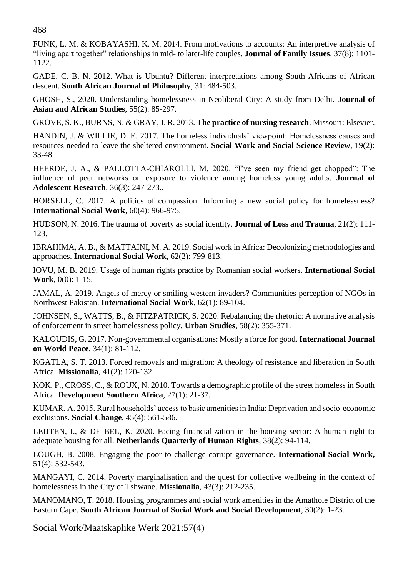FUNK, L. M. & KOBAYASHI, K. M. 2014. From motivations to accounts: An interpretive analysis of "living apart together" relationships in mid- to later-life couples. **Journal of Family Issues***,* 37(8): 1101- 1122.

GADE, C. B. N. 2012. What is Ubuntu? Different interpretations among South Africans of African descent. **South African Journal of Philosophy***,* 31: 484-503.

GHOSH, S., 2020. Understanding homelessness in Neoliberal City: A study from Delhi. **Journal of Asian and African Studies**, 55(2): 85-297.

GROVE, S. K., BURNS, N. & GRAY, J. R. 2013. **The practice of nursing research**. Missouri: Elsevier.

HANDIN, J. & WILLIE, D. E. 2017. The homeless individuals' viewpoint: Homelessness causes and resources needed to leave the sheltered environment. **Social Work and Social Science Review**, 19(2): 33-48.

HEERDE, J. A., & PALLOTTA-CHIAROLLI, M. 2020. "I've seen my friend get chopped": The influence of peer networks on exposure to violence among homeless young adults. **Journal of Adolescent Research***,* 36(3): 247-273..

HORSELL, C. 2017. A politics of compassion: Informing a new social policy for homelessness? **International Social Work**, 60(4): 966-975.

HUDSON, N. 2016. The trauma of poverty as social identity. **Journal of Loss and Trauma**, 21(2): 111- 123.

IBRAHIMA, A. B., & MATTAINI, M. A. 2019. Social work in Africa: Decolonizing methodologies and approaches. **International Social Work***,* 62(2): 799-813.

IOVU, M. B. 2019. Usage of human rights practice by Romanian social workers. **International Social Work**, 0(0): 1-15.

JAMAL, A. 2019. Angels of mercy or smiling western invaders? Communities perception of NGOs in Northwest Pakistan. **International Social Work**, 62(1): 89-104.

JOHNSEN, S., WATTS, B., & FITZPATRICK, S. 2020. Rebalancing the rhetoric: A normative analysis of enforcement in street homelessness policy*.* **Urban Studies**, 58(2): 355-371.

KALOUDIS, G. 2017. Non-governmental organisations: Mostly a force for good. **International Journal on World Peace***,* 34(1): 81-112.

KGATLA, S. T. 2013. Forced removals and migration: A theology of resistance and liberation in South Africa. **Missionalia***,* 41(2): 120-132.

KOK, P., CROSS, C., & ROUX, N. 2010. Towards a demographic profile of the street homeless in South Africa. **Development Southern Africa**, 27(1): 21-37.

KUMAR, A. 2015. Rural households' access to basic amenities in India: Deprivation and socio-economic exclusions. **Social Change**, 45(4): 561-586.

LEIJTEN, I., & DE BEL, K. 2020. Facing financialization in the housing sector: A human right to adequate housing for all. **Netherlands Quarterly of Human Rights***,* 38(2): 94-114.

LOUGH, B. 2008. Engaging the poor to challenge corrupt governance*.* **International Social Work,** 51(4): 532-543.

MANGAYI, C. 2014. Poverty marginalisation and the quest for collective wellbeing in the context of homelessness in the City of Tshwane. **Missionalia***,* 43(3): 212-235.

MANOMANO, T. 2018. Housing programmes and social work amenities in the Amathole District of the Eastern Cape. **South African Journal of Social Work and Social Development**, 30(2): 1-23.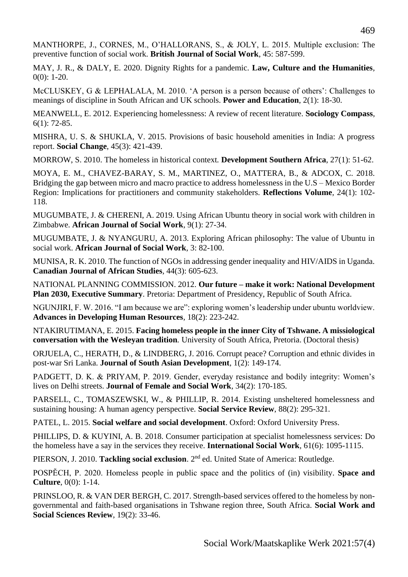MANTHORPE, J., CORNES, M., O'HALLORANS, S., & JOLY, L. 2015. Multiple exclusion: The preventive function of social work. **British Journal of Social Work**, 45: 587-599.

MAY, J. R., & DALY, E. 2020. Dignity Rights for a pandemic. **Law, Culture and the Humanities***,*  $0(0)$ : 1-20.

McCLUSKEY, G & LEPHALALA, M. 2010. 'A person is a person because of others': Challenges to meanings of discipline in South African and UK schools. **Power and Education**, 2(1): 18-30.

MEANWELL, E. 2012. Experiencing homelessness: A review of recent literature. **Sociology Compass**, 6(1): 72-85.

MISHRA, U. S. & SHUKLA, V. 2015. Provisions of basic household amenities in India: A progress report. **Social Change**, 45(3): 421-439.

MORROW, S. 2010. The homeless in historical context*.* **Development Southern Africa**, 27(1): 51-62.

MOYA, E. M., CHAVEZ-BARAY, S. M., MARTINEZ, O., MATTERA, B., & ADCOX, C. 2018. Bridging the gap between micro and macro practice to address homelessness in the U.S – Mexico Border Region: Implications for practitioners and community stakeholders. **Reflections Volume***,* 24(1): 102- 118.

MUGUMBATE, J. & CHERENI, A. 2019. Using African Ubuntu theory in social work with children in Zimbabwe. **African Journal of Social Work***,* 9(1): 27-34.

MUGUMBATE, J. & NYANGURU, A. 2013. Exploring African philosophy: The value of Ubuntu in social work. **African Journal of Social Work***,* 3: 82-100.

MUNISA, R. K. 2010. The function of NGOs in addressing gender inequality and HIV/AIDS in Uganda. **Canadian Journal of African Studies***,* 44(3): 605-623.

NATIONAL PLANNING COMMISSION. 2012. **Our future – make it work: National Development Plan 2030, Executive Summary**. Pretoria: Department of Presidency, Republic of South Africa.

NGUNJIRI, F. W. 2016. "I am because we are": exploring women's leadership under ubuntu worldview. **Advances in Developing Human Resources***,* 18(2): 223-242.

NTAKIRUTIMANA, E. 2015. **Facing homeless people in the inner City of Tshwane. A missiological conversation with the Wesleyan tradition***.* University of South Africa, Pretoria. (Doctoral thesis)

ORJUELA, C., HERATH, D., & LINDBERG, J. 2016. Corrupt peace? Corruption and ethnic divides in post-war Sri Lanka. **Journal of South Asian Development**, 1(2): 149-174.

PADGETT, D. K. & PRIYAM, P. 2019. Gender, everyday resistance and bodily integrity: Women's lives on Delhi streets. **Journal of Female and Social Work***,* 34(2): 170-185.

PARSELL, C., TOMASZEWSKI, W., & PHILLIP, R. 2014. Existing unsheltered homelessness and sustaining housing: A human agency perspective. **Social Service Review**, 88(2): 295-321.

PATEL, L. 2015. **Social welfare and social development**. Oxford: Oxford University Press.

PHILLIPS, D. & KUYINI, A. B. 2018. Consumer participation at specialist homelessness services: Do the homeless have a say in the services they receive. **International Social Work***,* 61(6): 1095-1115.

PIERSON, J. 2010. Tackling social exclusion. 2<sup>nd</sup> ed. United State of America: Routledge.

POSPĚCH, P. 2020. Homeless people in public space and the politics of (in) visibility. **Space and Culture***,* 0(0): 1-14.

PRINSLOO, R. & VAN DER BERGH, C. 2017. Strength-based services offered to the homeless by nongovernmental and faith-based organisations in Tshwane region three, South Africa. **Social Work and Social Sciences Review**, 19(2): 33-46.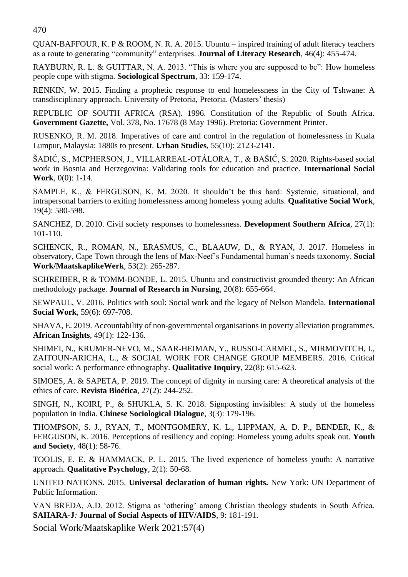QUAN-BAFFOUR, K. P & ROOM, N. R. A. 2015. Ubuntu – inspired training of adult literacy teachers as a route to generating "community" enterprises. **Journal of Literacy Research**, 46(4): 455-474.

RAYBURN, R. L. & GUITTAR, N. A. 2013. "This is where you are supposed to be": How homeless people cope with stigma. **Sociological Spectrum**, 33: 159-174.

RENKIN, W. 2015. Finding a prophetic response to end homelessness in the City of Tshwane: A transdisciplinary approach. University of Pretoria, Pretoria. (Masters' thesis)

REPUBLIC OF SOUTH AFRICA (RSA). 1996. Constitution of the Republic of South Africa. **Government Gazette,** Vol. 378, No. 17678 (8 May 1996). Pretoria: Government Printer.

RUSENKO, R. M. 2018. Imperatives of care and control in the regulation of homelessness in Kuala Lumpur, Malaysia: 1880s to present. **Urban Studies***,* 55(10): 2123-2141.

ŠADIĆ, S., MCPHERSON, J., VILLARREAL-OTÁLORA, T., & BAŠIĆ, S. 2020. Rights-based social work in Bosnia and Herzegovina: Validating tools for education and practice. **International Social Work***,* 0(0): 1-14.

SAMPLE, K., & FERGUSON, K. M. 2020. It shouldn't be this hard: Systemic, situational, and intrapersonal barriers to exiting homelessness among homeless young adults. **Qualitative Social Work***,* 19(4): 580-598.

SANCHEZ, D. 2010. Civil society responses to homelessness*.* **Development Southern Africa***,* 27(1): 101-110.

SCHENCK, R., ROMAN, N., ERASMUS, C., BLAAUW, D., & RYAN, J. 2017. Homeless in observatory, Cape Town through the lens of Max-Neef's Fundamental human's needs taxonomy. **Social Work/MaatskaplikeWerk***,* 53(2): 265-287.

SCHREIBER, R & TOMM-BONDE, L. 2015. Ubuntu and constructivist grounded theory: An African methodology package. **Journal of Research in Nursing***,* 20(8): 655-664.

SEWPAUL, V. 2016. Politics with soul: Social work and the legacy of Nelson Mandela. **International Social Work***,* 59(6): 697-708.

SHAVA, E. 2019. Accountability of non-governmental organisations in poverty alleviation programmes. **African Insights***,* 49(1): 122-136.

SHIMEI, N., KRUMER-NEVO, M., SAAR-HEIMAN, Y., RUSSO-CARMEL, S., MIRMOVITCH, I., ZAITOUN-ARICHA, L., & SOCIAL WORK FOR CHANGE GROUP MEMBERS. 2016. Critical social work: A performance ethnography. **Qualitative Inquiry**, 22(8): 615-623.

SIMOES, A. & SAPETA, P. 2019. The concept of dignity in nursing care: A theoretical analysis of the ethics of care. **Revista Bioética**, 27(2): 244-252.

SINGH, N., KOIRI, P., & SHUKLA, S. K. 2018. Signposting invisibles: A study of the homeless population in India. **Chinese Sociological Dialogue**, 3(3): 179-196.

THOMPSON, S. J., RYAN, T., MONTGOMERY, K. L., LIPPMAN, A. D. P., BENDER, K., & FERGUSON, K. 2016. Perceptions of resiliency and coping: Homeless young adults speak out. **Youth and Society***,* 48(1): 58-76.

TOOLIS, E. E. & HAMMACK, P. L. 2015. The lived experience of homeless youth: A narrative approach. **Qualitative Psychology**, 2(1): 50-68.

UNITED NATIONS. 2015. **Universal declaration of human rights.** New York: UN Department of Public Information.

VAN BREDA, A.D. 2012. Stigma as 'othering' among Christian theology students in South Africa. **SAHARA-J***:* **Journal of Social Aspects of HIV/AIDS***,* 9: 181-191.